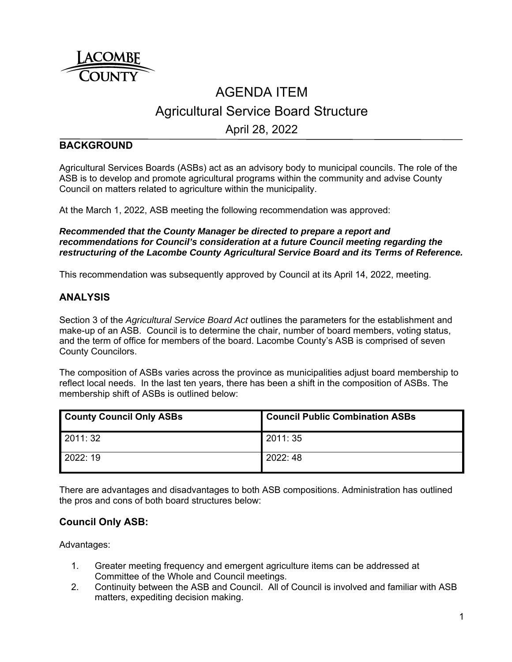

# AGENDA ITEM Agricultural Service Board Structure

April 28, 2022

### **BACKGROUND**

Agricultural Services Boards (ASBs) act as an advisory body to municipal councils. The role of the ASB is to develop and promote agricultural programs within the community and advise County Council on matters related to agriculture within the municipality.

At the March 1, 2022, ASB meeting the following recommendation was approved:

*Recommended that the County Manager be directed to prepare a report and recommendations for Council's consideration at a future Council meeting regarding the restructuring of the Lacombe County Agricultural Service Board and its Terms of Reference.*

This recommendation was subsequently approved by Council at its April 14, 2022, meeting.

#### **ANALYSIS**

Section 3 of the *Agricultural Service Board Act* outlines the parameters for the establishment and make-up of an ASB. Council is to determine the chair, number of board members, voting status, and the term of office for members of the board. Lacombe County's ASB is comprised of seven County Councilors.

The composition of ASBs varies across the province as municipalities adjust board membership to reflect local needs. In the last ten years, there has been a shift in the composition of ASBs. The membership shift of ASBs is outlined below:

| <b>County Council Only ASBs</b> | <b>Council Public Combination ASBs</b> |
|---------------------------------|----------------------------------------|
| 2011: 32                        | 2011: 35                               |
| 2022: 19                        | 2022:48                                |

There are advantages and disadvantages to both ASB compositions. Administration has outlined the pros and cons of both board structures below:

#### **Council Only ASB:**

Advantages:

- 1. Greater meeting frequency and emergent agriculture items can be addressed at Committee of the Whole and Council meetings.
- 2. Continuity between the ASB and Council. All of Council is involved and familiar with ASB matters, expediting decision making.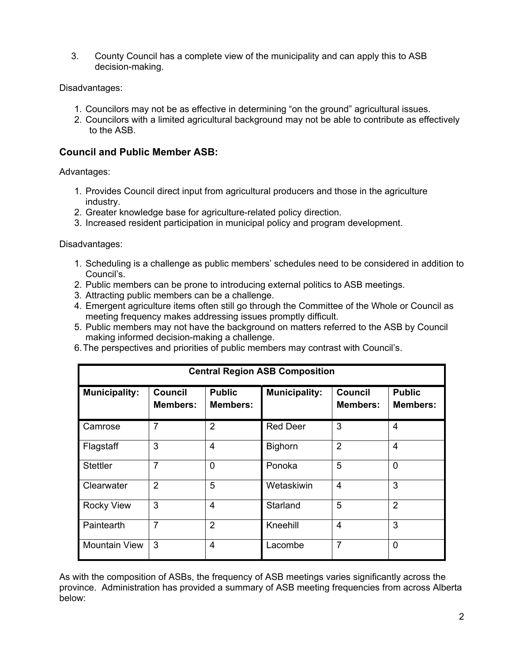3. County Council has a complete view of the municipality and can apply this to ASB decision-making.

Disadvantages:

- 1. Councilors may not be as effective in determining "on the ground" agricultural issues.
- 2. Councilors with a limited agricultural background may not be able to contribute as effectively to the ASB.

## **Council and Public Member ASB:**

Advantages:

- 1. Provides Council direct input from agricultural producers and those in the agriculture industry.
- 2. Greater knowledge base for agriculture-related policy direction.
- 3. Increased resident participation in municipal policy and program development.

Disadvantages:

- 1. Scheduling is a challenge as public members' schedules need to be considered in addition to Council's.
- 2. Public members can be prone to introducing external politics to ASB meetings.
- 3. Attracting public members can be a challenge.
- 4. Emergent agriculture items often still go through the Committee of the Whole or Council as meeting frequency makes addressing issues promptly difficult.
- 5. Public members may not have the background on matters referred to the ASB by Council making informed decision-making a challenge.
- 6. The perspectives and priorities of public members may contrast with Council's.

| <b>Central Region ASB Composition</b> |                                   |                                  |                      |                                   |                                  |  |  |
|---------------------------------------|-----------------------------------|----------------------------------|----------------------|-----------------------------------|----------------------------------|--|--|
| <b>Municipality:</b>                  | <b>Council</b><br><b>Members:</b> | <b>Public</b><br><b>Members:</b> | <b>Municipality:</b> | <b>Council</b><br><b>Members:</b> | <b>Public</b><br><b>Members:</b> |  |  |
| Camrose                               | 7                                 | 2                                | <b>Red Deer</b>      | 3                                 | 4                                |  |  |
| Flagstaff                             | 3                                 | 4                                | <b>Bighorn</b>       | $\overline{2}$                    | $\overline{4}$                   |  |  |
| <b>Stettler</b>                       | $\overline{7}$                    | $\overline{0}$                   | Ponoka               | 5                                 | $\mathbf{0}$                     |  |  |
| Clearwater                            | $\overline{2}$                    | 5                                | Wetaskiwin           | $\overline{4}$                    | 3                                |  |  |
| <b>Rocky View</b>                     | 3                                 | 4                                | Starland             | 5                                 | $\overline{2}$                   |  |  |
| Paintearth                            | $\overline{7}$                    | $\overline{2}$                   | Kneehill             | $\overline{\mathcal{A}}$          | 3                                |  |  |
| <b>Mountain View</b>                  | 3                                 | 4                                | Lacombe              | $\overline{7}$                    | $\mathbf{0}$                     |  |  |

As with the composition of ASBs, the frequency of ASB meetings varies significantly across the province. Administration has provided a summary of ASB meeting frequencies from across Alberta below: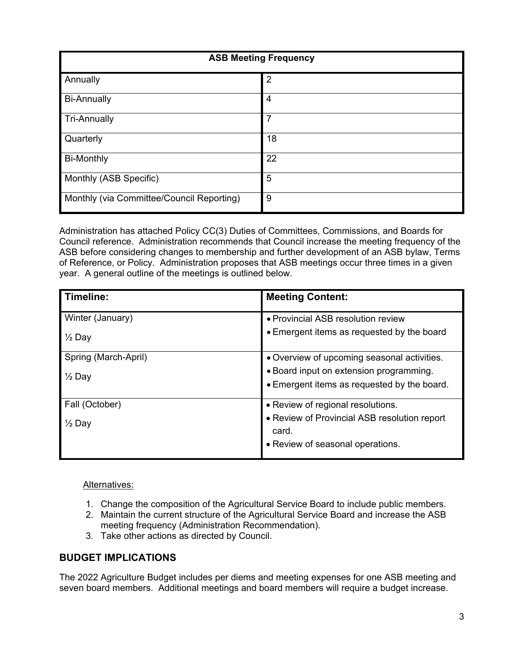| <b>ASB Meeting Frequency</b>              |                |  |  |
|-------------------------------------------|----------------|--|--|
| Annually                                  | $\overline{2}$ |  |  |
| <b>Bi-Annually</b>                        | 4              |  |  |
| <b>Tri-Annually</b>                       | $\overline{7}$ |  |  |
| Quarterly                                 | 18             |  |  |
| <b>Bi-Monthly</b>                         | 22             |  |  |
| Monthly (ASB Specific)                    | 5              |  |  |
| Monthly (via Committee/Council Reporting) | 9              |  |  |

Administration has attached Policy CC(3) Duties of Committees, Commissions, and Boards for Council reference. Administration recommends that Council increase the meeting frequency of the ASB before considering changes to membership and further development of an ASB bylaw, Terms of Reference, or Policy. Administration proposes that ASB meetings occur three times in a given year. A general outline of the meetings is outlined below.

| Timeline:                                   | <b>Meeting Content:</b>                                                                                                               |
|---------------------------------------------|---------------------------------------------------------------------------------------------------------------------------------------|
| Winter (January)<br>$\frac{1}{2}$ Day       | • Provincial ASB resolution review<br>• Emergent items as requested by the board                                                      |
| Spring (March-April)<br>1/ <sub>2</sub> Day | • Overview of upcoming seasonal activities.<br>• Board input on extension programming.<br>• Emergent items as requested by the board. |
| Fall (October)<br>$\frac{1}{2}$ Day         | • Review of regional resolutions.<br>• Review of Provincial ASB resolution report<br>card.<br>• Review of seasonal operations.        |

Alternatives:

- 1. Change the composition of the Agricultural Service Board to include public members.
- 2. Maintain the current structure of the Agricultural Service Board and increase the ASB meeting frequency (Administration Recommendation).
- 3. Take other actions as directed by Council.

#### **BUDGET IMPLICATIONS**

The 2022 Agriculture Budget includes per diems and meeting expenses for one ASB meeting and seven board members. Additional meetings and board members will require a budget increase.